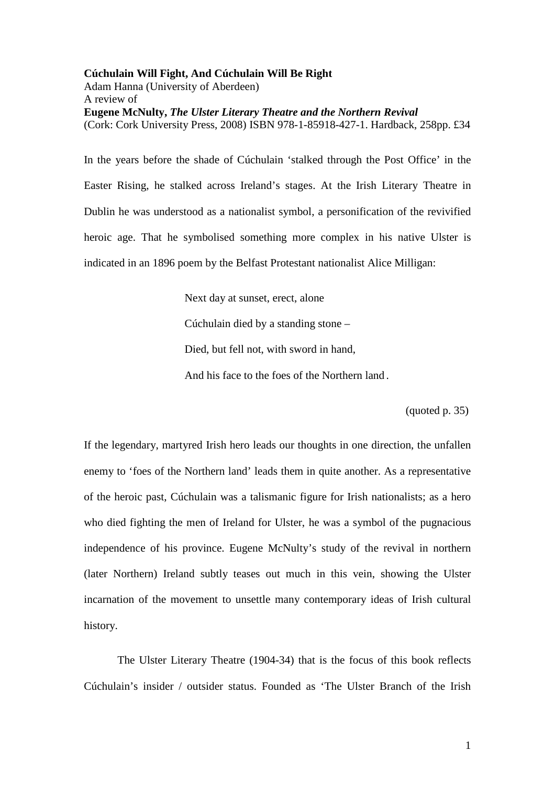**Cúchulain Will Fight, And Cúchulain Will Be Right**  Adam Hanna (University of Aberdeen) A review of **Eugene McNulty,** *The Ulster Literary Theatre and the Northern Revival* (Cork: Cork University Press, 2008) ISBN 978-1-85918-427-1. Hardback, 258pp. £34

In the years before the shade of Cúchulain 'stalked through the Post Office' in the Easter Rising, he stalked across Ireland's stages. At the Irish Literary Theatre in Dublin he was understood as a nationalist symbol, a personification of the revivified heroic age. That he symbolised something more complex in his native Ulster is indicated in an 1896 poem by the Belfast Protestant nationalist Alice Milligan:

> Next day at sunset, erect, alone Cúchulain died by a standing stone – Died, but fell not, with sword in hand, And his face to the foes of the Northern land .

> > (quoted p. 35)

If the legendary, martyred Irish hero leads our thoughts in one direction, the unfallen enemy to 'foes of the Northern land' leads them in quite another. As a representative of the heroic past, Cúchulain was a talismanic figure for Irish nationalists; as a hero who died fighting the men of Ireland for Ulster, he was a symbol of the pugnacious independence of his province. Eugene McNulty's study of the revival in northern (later Northern) Ireland subtly teases out much in this vein, showing the Ulster incarnation of the movement to unsettle many contemporary ideas of Irish cultural history.

 The Ulster Literary Theatre (1904-34) that is the focus of this book reflects Cúchulain's insider / outsider status. Founded as 'The Ulster Branch of the Irish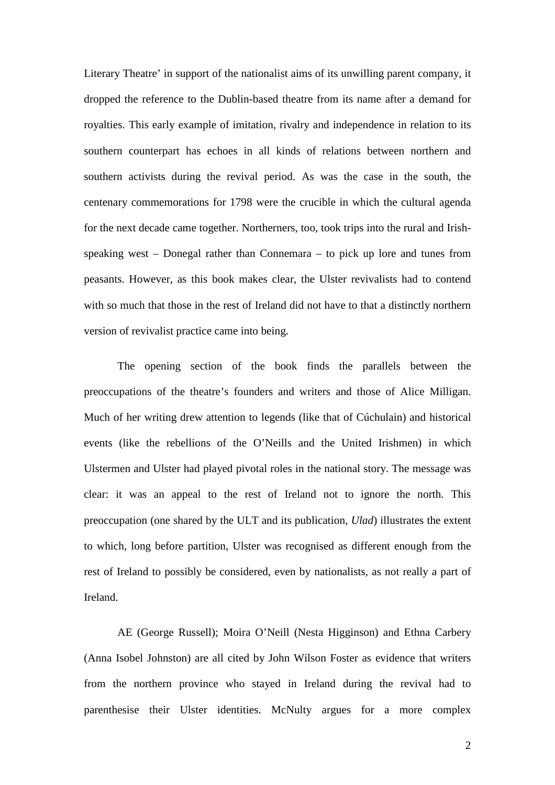Literary Theatre' in support of the nationalist aims of its unwilling parent company, it dropped the reference to the Dublin-based theatre from its name after a demand for royalties. This early example of imitation, rivalry and independence in relation to its southern counterpart has echoes in all kinds of relations between northern and southern activists during the revival period. As was the case in the south, the centenary commemorations for 1798 were the crucible in which the cultural agenda for the next decade came together. Northerners, too, took trips into the rural and Irishspeaking west – Donegal rather than Connemara – to pick up lore and tunes from peasants. However, as this book makes clear, the Ulster revivalists had to contend with so much that those in the rest of Ireland did not have to that a distinctly northern version of revivalist practice came into being.

The opening section of the book finds the parallels between the preoccupations of the theatre's founders and writers and those of Alice Milligan. Much of her writing drew attention to legends (like that of Cúchulain) and historical events (like the rebellions of the O'Neills and the United Irishmen) in which Ulstermen and Ulster had played pivotal roles in the national story. The message was clear: it was an appeal to the rest of Ireland not to ignore the north. This preoccupation (one shared by the ULT and its publication, *Ulad*) illustrates the extent to which, long before partition, Ulster was recognised as different enough from the rest of Ireland to possibly be considered, even by nationalists, as not really a part of Ireland.

AE (George Russell); Moira O'Neill (Nesta Higginson) and Ethna Carbery (Anna Isobel Johnston) are all cited by John Wilson Foster as evidence that writers from the northern province who stayed in Ireland during the revival had to parenthesise their Ulster identities. McNulty argues for a more complex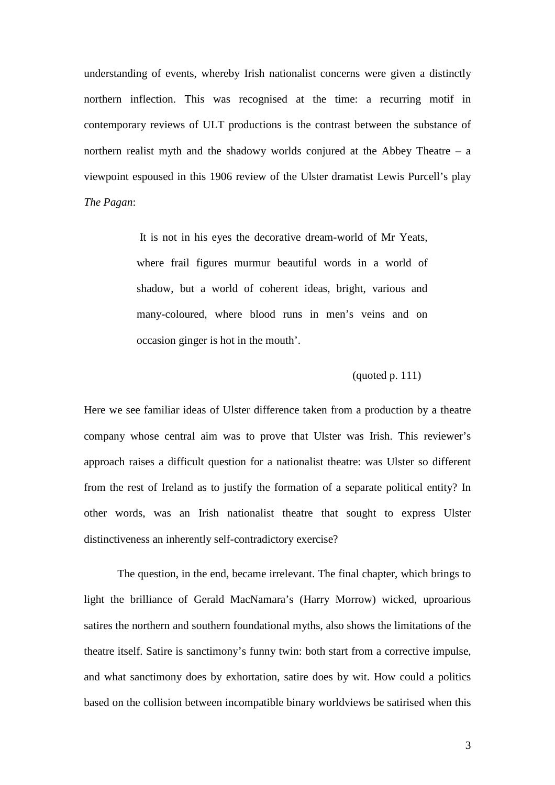understanding of events, whereby Irish nationalist concerns were given a distinctly northern inflection. This was recognised at the time: a recurring motif in contemporary reviews of ULT productions is the contrast between the substance of northern realist myth and the shadowy worlds conjured at the Abbey Theatre – a viewpoint espoused in this 1906 review of the Ulster dramatist Lewis Purcell's play *The Pagan*:

> It is not in his eyes the decorative dream-world of Mr Yeats, where frail figures murmur beautiful words in a world of shadow, but a world of coherent ideas, bright, various and many-coloured, where blood runs in men's veins and on occasion ginger is hot in the mouth'.

## (quoted p. 111)

Here we see familiar ideas of Ulster difference taken from a production by a theatre company whose central aim was to prove that Ulster was Irish. This reviewer's approach raises a difficult question for a nationalist theatre: was Ulster so different from the rest of Ireland as to justify the formation of a separate political entity? In other words, was an Irish nationalist theatre that sought to express Ulster distinctiveness an inherently self-contradictory exercise?

 The question, in the end, became irrelevant. The final chapter, which brings to light the brilliance of Gerald MacNamara's (Harry Morrow) wicked, uproarious satires the northern and southern foundational myths, also shows the limitations of the theatre itself. Satire is sanctimony's funny twin: both start from a corrective impulse, and what sanctimony does by exhortation, satire does by wit. How could a politics based on the collision between incompatible binary worldviews be satirised when this